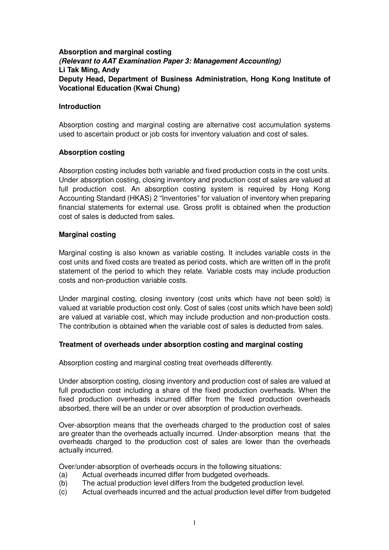## **Absorption and marginal costing (Relevant to AAT Examination Paper 3: Management Accounting) Li Tak Ming, Andy Deputy Head, Department of Business Administration, Hong Kong Institute of Vocational Education (Kwai Chung)**

#### **Introduction**

Absorption costing and marginal costing are alternative cost accumulation systems used to ascertain product or job costs for inventory valuation and cost of sales.

### **Absorption costing**

Absorption costing includes both variable and fixed production costs in the cost units. Under absorption costing, closing inventory and production cost of sales are valued at full production cost. An absorption costing system is required by Hong Kong Accounting Standard (HKAS) 2 "Inventories" for valuation of inventory when preparing financial statements for external use. Gross profit is obtained when the production cost of sales is deducted from sales.

### **Marginal costing**

Marginal costing is also known as variable costing. It includes variable costs in the cost units and fixed costs are treated as period costs, which are written off in the profit statement of the period to which they relate. Variable costs may include production costs and non-production variable costs.

Under marginal costing, closing inventory (cost units which have not been sold) is valued at variable production cost only. Cost of sales (cost units which have been sold) are valued at variable cost, which may include production and non-production costs. The contribution is obtained when the variable cost of sales is deducted from sales.

#### **Treatment of overheads under absorption costing and marginal costing**

Absorption costing and marginal costing treat overheads differently.

Under absorption costing, closing inventory and production cost of sales are valued at full production cost including a share of the fixed production overheads. When the fixed production overheads incurred differ from the fixed production overheads absorbed, there will be an under or over absorption of production overheads.

Over-absorption means that the overheads charged to the production cost of sales are greater than the overheads actually incurred. Under-absorption means that the overheads charged to the production cost of sales are lower than the overheads actually incurred.

Over/under-absorption of overheads occurs in the following situations:

- (a) Actual overheads incurred differ from budgeted overheads.
- (b) The actual production level differs from the budgeted production level.
- (c) Actual overheads incurred and the actual production level differ from budgeted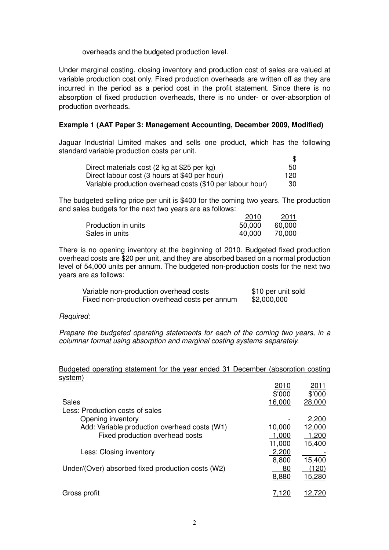overheads and the budgeted production level.

Under marginal costing, closing inventory and production cost of sales are valued at variable production cost only. Fixed production overheads are written off as they are incurred in the period as a period cost in the profit statement. Since there is no absorption of fixed production overheads, there is no under- or over-absorption of production overheads.

### **Example 1 (AAT Paper 3: Management Accounting, December 2009, Modified)**

Jaguar Industrial Limited makes and sells one product, which has the following standard variable production costs per unit.  $\hat{\mathcal{L}}$ 

| Direct materials cost (2 kg at \$25 per kg)               | 50  |
|-----------------------------------------------------------|-----|
| Direct labour cost (3 hours at \$40 per hour)             | 120 |
| Variable production overhead costs (\$10 per labour hour) | 30  |

The budgeted selling price per unit is \$400 for the coming two years. The production and sales budgets for the next two years are as follows:

|                     | 2010   | 2011   |
|---------------------|--------|--------|
| Production in units | 50,000 | 60.000 |
| Sales in units      | 40.000 | 70.000 |

There is no opening inventory at the beginning of 2010. Budgeted fixed production overhead costs are \$20 per unit, and they are absorbed based on a normal production level of 54,000 units per annum. The budgeted non-production costs for the next two years are as follows:

| Variable non-production overhead costs        | \$10 per unit sold |
|-----------------------------------------------|--------------------|
| Fixed non-production overhead costs per annum | \$2,000,000        |

Required:

Prepare the budgeted operating statements for each of the coming two years, in a columnar format using absorption and marginal costing systems separately.

## Budgeted operating statement for the year ended 31 December (absorption costing system)

|                                                   | 2010   | 2011   |
|---------------------------------------------------|--------|--------|
|                                                   | \$'000 | \$'000 |
| Sales                                             | 16,000 | 28,000 |
| Less: Production costs of sales                   |        |        |
| Opening inventory                                 |        | 2,200  |
| Add: Variable production overhead costs (W1)      | 10,000 | 12,000 |
| Fixed production overhead costs                   | 1,000  | 1,200  |
|                                                   | 11,000 | 15,400 |
| Less: Closing inventory                           | 2,200  |        |
|                                                   | 8,800  | 15,400 |
| Under/(Over) absorbed fixed production costs (W2) | 80     | (120)  |
|                                                   | 8,880  | 15,280 |
| Gross profit                                      | 7.120  | 12,720 |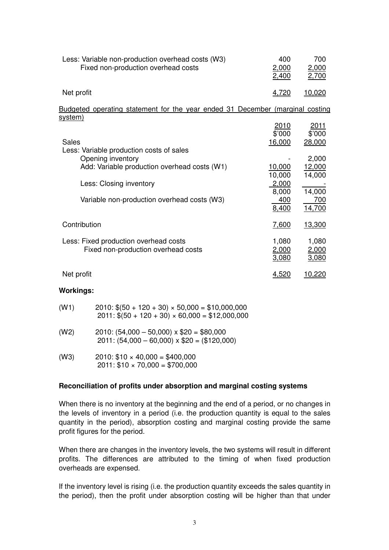| Less: Variable non-production overhead costs (W3)<br>Fixed non-production overhead costs                                                                                                                | 400<br>2,000<br>2,400                                                                 | 700<br>2,000<br>2,700                                                            |
|---------------------------------------------------------------------------------------------------------------------------------------------------------------------------------------------------------|---------------------------------------------------------------------------------------|----------------------------------------------------------------------------------|
| Net profit                                                                                                                                                                                              | 4,720                                                                                 | 10,020                                                                           |
| Budgeted operating statement for the year ended 31 December (marginal costing<br><u>system)</u>                                                                                                         |                                                                                       |                                                                                  |
| <b>Sales</b><br>Less: Variable production costs of sales<br>Opening inventory<br>Add: Variable production overhead costs (W1)<br>Less: Closing inventory<br>Variable non-production overhead costs (W3) | 2010<br>\$'000<br>16,000<br>10,000<br>10,000<br>2,000<br>8,000<br><u>400</u><br>8,400 | 2011<br>\$'000<br>28,000<br>2,000<br>12,000<br>14,000<br>14,000<br>700<br>14,700 |
| Contribution                                                                                                                                                                                            | 7,600                                                                                 | 13,300                                                                           |
| Less: Fixed production overhead costs<br>Fixed non-production overhead costs                                                                                                                            | 1,080<br>2,000<br>3,080                                                               | 1,080<br>2,000<br><u>3,080</u>                                                   |
| Net profit                                                                                                                                                                                              | 4,520                                                                                 | 10,220                                                                           |
| <b>Workings:</b>                                                                                                                                                                                        |                                                                                       |                                                                                  |

| (W1) | $2010$ : $$(50 + 120 + 30) \times 50,000 = $10,000,000$<br>$2011:$ \$(50 + 120 + 30) × 60,000 = \$12,000,000 |
|------|--------------------------------------------------------------------------------------------------------------|
| (W2) | $2010$ : (54,000 - 50,000) x \$20 = \$80,000<br>$2011: (54,000 - 60,000) \times $20 = ($120,000)$            |
| (W3) | $2010: $10 \times 40,000 = $400,000$                                                                         |

 $2011: $10 \times 70,000 = $700,000$ 

## **Reconciliation of profits under absorption and marginal costing systems**

When there is no inventory at the beginning and the end of a period, or no changes in the levels of inventory in a period (i.e. the production quantity is equal to the sales quantity in the period), absorption costing and marginal costing provide the same profit figures for the period.

When there are changes in the inventory levels, the two systems will result in different profits. The differences are attributed to the timing of when fixed production overheads are expensed.

If the inventory level is rising (i.e. the production quantity exceeds the sales quantity in the period), then the profit under absorption costing will be higher than that under